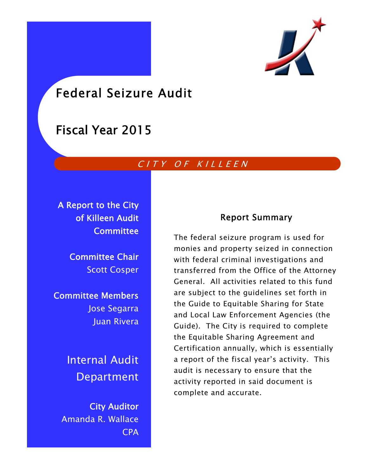

# Federal Seizure Audit

# Fiscal Year 2015

# CITY OF KILLEEN

A Report to the City of Killeen Audit **Committee** 

> Committee Chair Scott Cosper

Committee Members Jose Segarra Juan Rivera

> Internal Audit Department

City Auditor Amanda R. Wallace CPA

# Report Summary

The federal seizure program is used for monies and property seized in connection with federal criminal investigations and transferred from the Office of the Attorney General. All activities related to this fund are subject to the guidelines set forth in the Guide to Equitable Sharing for State and Local Law Enforcement Agencies (the Guide). The City is required to complete the Equitable Sharing Agreement and Certification annually, which is essentially a report of the fiscal year's activity. This audit is necessary to ensure that the activity reported in said document is complete and accurate.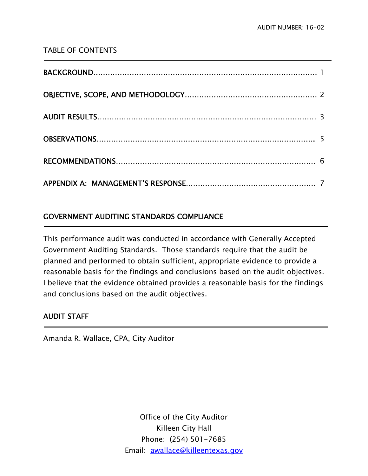## TABLE OF CONTENTS

# GOVERNMENT AUDITING STANDARDS COMPLIANCE

This performance audit was conducted in accordance with Generally Accepted Government Auditing Standards. Those standards require that the audit be planned and performed to obtain sufficient, appropriate evidence to provide a reasonable basis for the findings and conclusions based on the audit objectives. I believe that the evidence obtained provides a reasonable basis for the findings and conclusions based on the audit objectives.

# AUDIT STAFF

j

1

Amanda R. Wallace, CPA, City Auditor

Office of the City Auditor Killeen City Hall Phone: (254) 501-7685 Email: awallace@killeentexas.gov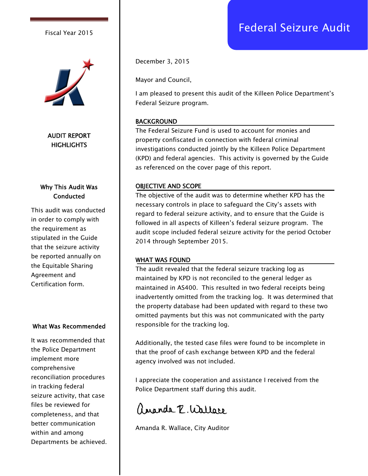

AUDIT REPORT **HIGHLIGHTS** 

## Why This Audit Was **Conducted**

This audit was conducted in order to comply with the requirement as stipulated in the Guide that the seizure activity be reported annually on the Equitable Sharing Agreement and Certification form.

#### What Was Recommended

It was recommended that the Police Department implement more comprehensive reconciliation procedures in tracking federal seizure activity, that case files be reviewed for completeness, and that better communication within and among Departments be achieved. December 3, 2015

Mayor and Council,

I am pleased to present this audit of the Killeen Police Department's Federal Seizure program.

#### **BACKGROUND**

The Federal Seizure Fund is used to account for monies and property confiscated in connection with federal criminal investigations conducted jointly by the Killeen Police Department (KPD) and federal agencies. This activity is governed by the Guide as referenced on the cover page of this report.

#### OBJECTIVE AND SCOPE

The objective of the audit was to determine whether KPD has the necessary controls in place to safeguard the City's assets with regard to federal seizure activity, and to ensure that the Guide is followed in all aspects of Killeen's federal seizure program. The audit scope included federal seizure activity for the period October 2014 through September 2015.

#### WHAT WAS FOUND

The audit revealed that the federal seizure tracking log as maintained by KPD is not reconciled to the general ledger as maintained in AS400. This resulted in two federal receipts being inadvertently omitted from the tracking log. It was determined that the property database had been updated with regard to these two omitted payments but this was not communicated with the party responsible for the tracking log.

Additionally, the tested case files were found to be incomplete in that the proof of cash exchange between KPD and the federal agency involved was not included.

I appreciate the cooperation and assistance I received from the Police Department staff during this audit.

angola P. Wallare

Amanda R. Wallace, City Auditor

# Fiscal Year 2015 **Federal Seizure Audit**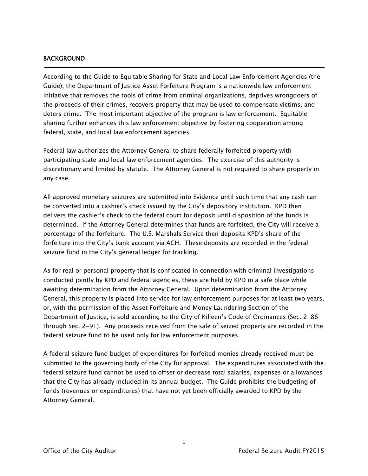#### BACKGROUND

j

According to the Guide to Equitable Sharing for State and Local Law Enforcement Agencies (the Guide), the Department of Justice Asset Forfeiture Program is a nationwide law enforcement initiative that removes the tools of crime from criminal organizations, deprives wrongdoers of the proceeds of their crimes, recovers property that may be used to compensate victims, and deters crime. The most important objective of the program is law enforcement. Equitable sharing further enhances this law enforcement objective by fostering cooperation among federal, state, and local law enforcement agencies.

Federal law authorizes the Attorney General to share federally forfeited property with participating state and local law enforcement agencies. The exercise of this authority is discretionary and limited by statute. The Attorney General is not required to share property in any case.

All approved monetary seizures are submitted into Evidence until such time that any cash can be converted into a cashier's check issued by the City's depository institution. KPD then delivers the cashier's check to the federal court for deposit until disposition of the funds is determined. If the Attorney General determines that funds are forfeited, the City will receive a percentage of the forfeiture. The U.S. Marshals Service then deposits KPD's share of the forfeiture into the City's bank account via ACH. These deposits are recorded in the federal seizure fund in the City's general ledger for tracking.

As for real or personal property that is confiscated in connection with criminal investigations conducted jointly by KPD and federal agencies, these are held by KPD in a safe place while awaiting determination from the Attorney General. Upon determination from the Attorney General, this property is placed into service for law enforcement purposes for at least two years, or, with the permission of the Asset Forfeiture and Money Laundering Section of the Department of Justice, is sold according to the City of Killeen's Code of Ordinances (Sec. 2-86 through Sec. 2-91). Any proceeds received from the sale of seized property are recorded in the federal seizure fund to be used only for law enforcement purposes.

A federal seizure fund budget of expenditures for forfeited monies already received must be submitted to the governing body of the City for approval. The expenditures associated with the federal seizure fund cannot be used to offset or decrease total salaries, expenses or allowances that the City has already included in its annual budget. The Guide prohibits the budgeting of funds (revenues or expenditures) that have not yet been officially awarded to KPD by the Attorney General.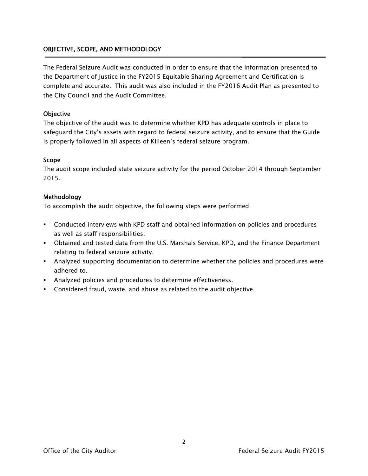### OBJECTIVE, SCOPE, AND METHODOLOGY

The Federal Seizure Audit was conducted in order to ensure that the information presented to the Department of Justice in the FY2015 Equitable Sharing Agreement and Certification is complete and accurate. This audit was also included in the FY2016 Audit Plan as presented to the City Council and the Audit Committee.

#### **Objective**

The objective of the audit was to determine whether KPD has adequate controls in place to safeguard the City's assets with regard to federal seizure activity, and to ensure that the Guide is properly followed in all aspects of Killeen's federal seizure program.

#### Scope

The audit scope included state seizure activity for the period October 2014 through September 2015.

#### Methodology

To accomplish the audit objective, the following steps were performed:

- Conducted interviews with KPD staff and obtained information on policies and procedures as well as staff responsibilities.
- Obtained and tested data from the U.S. Marshals Service, KPD, and the Finance Department relating to federal seizure activity.
- Analyzed supporting documentation to determine whether the policies and procedures were adhered to.
- Analyzed policies and procedures to determine effectiveness.
- Considered fraud, waste, and abuse as related to the audit objective.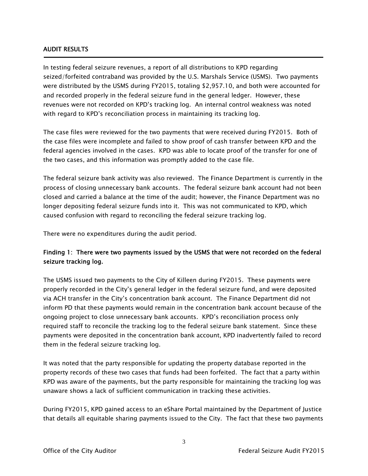#### AUDIT RESULTS

Ī

In testing federal seizure revenues, a report of all distributions to KPD regarding seized/forfeited contraband was provided by the U.S. Marshals Service (USMS). Two payments were distributed by the USMS during FY2015, totaling \$2,957.10, and both were accounted for and recorded properly in the federal seizure fund in the general ledger. However, these revenues were not recorded on KPD's tracking log. An internal control weakness was noted with regard to KPD's reconciliation process in maintaining its tracking log.

The case files were reviewed for the two payments that were received during FY2015. Both of the case files were incomplete and failed to show proof of cash transfer between KPD and the federal agencies involved in the cases. KPD was able to locate proof of the transfer for one of the two cases, and this information was promptly added to the case file.

The federal seizure bank activity was also reviewed. The Finance Department is currently in the process of closing unnecessary bank accounts. The federal seizure bank account had not been closed and carried a balance at the time of the audit; however, the Finance Department was no longer depositing federal seizure funds into it. This was not communicated to KPD, which caused confusion with regard to reconciling the federal seizure tracking log.

There were no expenditures during the audit period.

### Finding 1: There were two payments issued by the USMS that were not recorded on the federal seizure tracking log.

The USMS issued two payments to the City of Killeen during FY2015. These payments were properly recorded in the City's general ledger in the federal seizure fund, and were deposited via ACH transfer in the City's concentration bank account. The Finance Department did not inform PD that these payments would remain in the concentration bank account because of the ongoing project to close unnecessary bank accounts. KPD's reconciliation process only required staff to reconcile the tracking log to the federal seizure bank statement. Since these payments were deposited in the concentration bank account, KPD inadvertently failed to record them in the federal seizure tracking log.

It was noted that the party responsible for updating the property database reported in the property records of these two cases that funds had been forfeited. The fact that a party within KPD was aware of the payments, but the party responsible for maintaining the tracking log was unaware shows a lack of sufficient communication in tracking these activities.

During FY2015, KPD gained access to an eShare Portal maintained by the Department of Justice that details all equitable sharing payments issued to the City. The fact that these two payments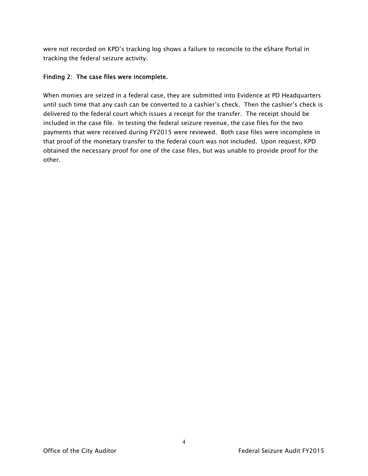were not recorded on KPD's tracking log shows a failure to reconcile to the eShare Portal in tracking the federal seizure activity.

#### Finding 2: The case files were incomplete.

When monies are seized in a federal case, they are submitted into Evidence at PD Headquarters until such time that any cash can be converted to a cashier's check. Then the cashier's check is delivered to the federal court which issues a receipt for the transfer. The receipt should be included in the case file. In testing the federal seizure revenue, the case files for the two payments that were received during FY2015 were reviewed. Both case files were incomplete in that proof of the monetary transfer to the federal court was not included. Upon request, KPD obtained the necessary proof for one of the case files, but was unable to provide proof for the other.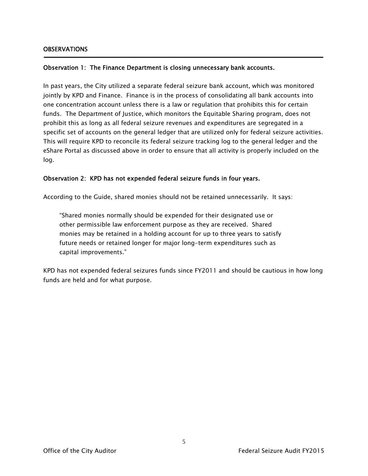Ī

#### Observation 1: The Finance Department is closing unnecessary bank accounts.

In past years, the City utilized a separate federal seizure bank account, which was monitored jointly by KPD and Finance. Finance is in the process of consolidating all bank accounts into one concentration account unless there is a law or regulation that prohibits this for certain funds. The Department of Justice, which monitors the Equitable Sharing program, does not prohibit this as long as all federal seizure revenues and expenditures are segregated in a specific set of accounts on the general ledger that are utilized only for federal seizure activities. This will require KPD to reconcile its federal seizure tracking log to the general ledger and the eShare Portal as discussed above in order to ensure that all activity is properly included on the log.

#### Observation 2: KPD has not expended federal seizure funds in four years.

According to the Guide, shared monies should not be retained unnecessarily. It says:

"Shared monies normally should be expended for their designated use or other permissible law enforcement purpose as they are received. Shared monies may be retained in a holding account for up to three years to satisfy future needs or retained longer for major long-term expenditures such as capital improvements."

KPD has not expended federal seizures funds since FY2011 and should be cautious in how long funds are held and for what purpose.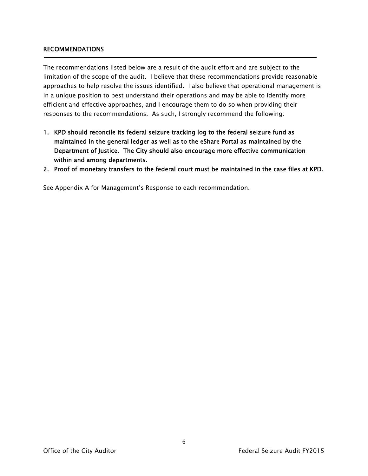#### RECOMMENDATIONS

The recommendations listed below are a result of the audit effort and are subject to the limitation of the scope of the audit. I believe that these recommendations provide reasonable approaches to help resolve the issues identified. I also believe that operational management is in a unique position to best understand their operations and may be able to identify more efficient and effective approaches, and I encourage them to do so when providing their responses to the recommendations. As such, I strongly recommend the following:

- 1. KPD should reconcile its federal seizure tracking log to the federal seizure fund as maintained in the general ledger as well as to the eShare Portal as maintained by the Department of Justice. The City should also encourage more effective communication within and among departments.
- 2. Proof of monetary transfers to the federal court must be maintained in the case files at KPD.

See Appendix A for Management's Response to each recommendation.